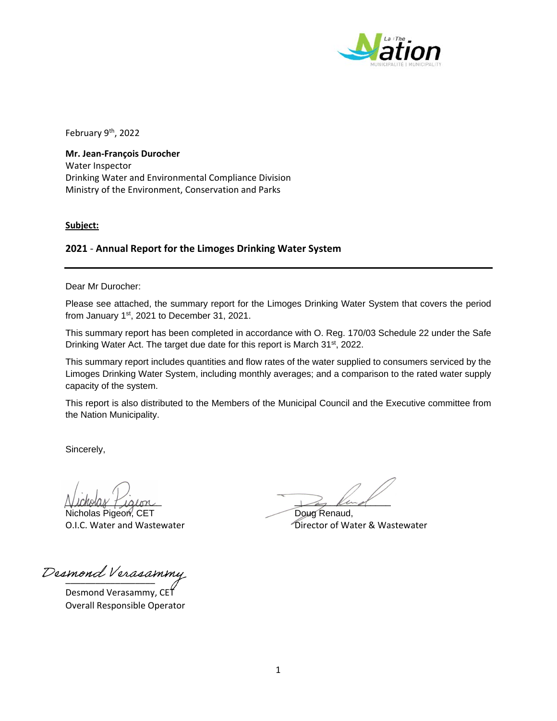

February 9<sup>th</sup>, 2022

**Mr. Jean‐François Durocher** Water Inspector Drinking Water and Environmental Compliance Division Ministry of the Environment, Conservation and Parks

**Subject:**

## **2021** ‐ **Annual Report for the Limoges Drinking Water System**

Dear Mr Durocher:

Please see attached, the summary report for the Limoges Drinking Water System that covers the period from January 1<sup>st</sup>, 2021 to December 31, 2021.

This summary report has been completed in accordance with O. Reg. 170/03 Schedule 22 under the Safe Drinking Water Act. The target due date for this report is March 31<sup>st</sup>, 2022.

This summary report includes quantities and flow rates of the water supplied to consumers serviced by the Limoges Drinking Water System, including monthly averages; and a comparison to the rated water supply capacity of the system.

This report is also distributed to the Members of the Municipal Council and the Executive committee from the Nation Municipality.

Sincerely,

Nicholas Pigeon, CET Doug Renaud,

Desmond Verasammy

Desmond Verasammy, CET Overall Responsible Operator

Vickelas Pialon

O.I.C. Water and Wastewater **Director of Water & Wastewater** Director of Water & Wastewater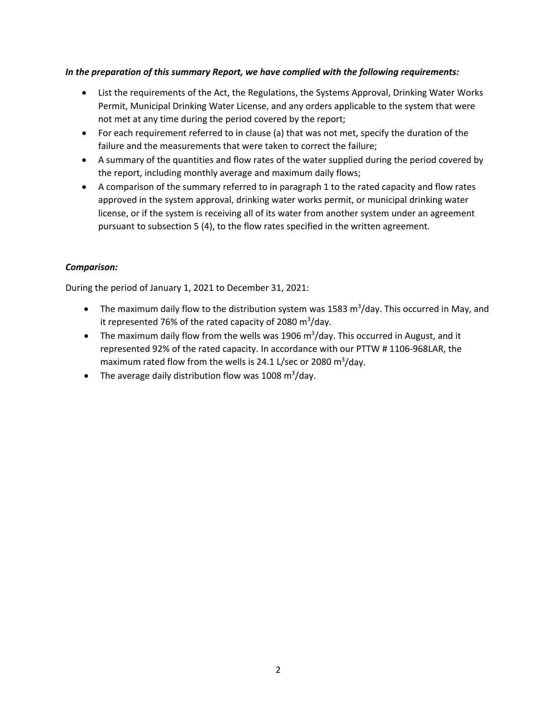## *In the preparation of this summary Report, we have complied with the following requirements:*

- List the requirements of the Act, the Regulations, the Systems Approval, Drinking Water Works Permit, Municipal Drinking Water License, and any orders applicable to the system that were not met at any time during the period covered by the report;
- For each requirement referred to in clause (a) that was not met, specify the duration of the failure and the measurements that were taken to correct the failure;
- A summary of the quantities and flow rates of the water supplied during the period covered by the report, including monthly average and maximum daily flows;
- A comparison of the summary referred to in paragraph 1 to the rated capacity and flow rates approved in the system approval, drinking water works permit, or municipal drinking water license, or if the system is receiving all of its water from another system under an agreement pursuant to subsection 5 (4), to the flow rates specified in the written agreement.

## *Comparison:*

During the period of January 1, 2021 to December 31, 2021:

- The maximum daily flow to the distribution system was 1583 m<sup>3</sup>/day. This occurred in May, and it represented 76% of the rated capacity of 2080 m<sup>3</sup>/day.
- The maximum daily flow from the wells was 1906 m<sup>3</sup>/day. This occurred in August, and it represented 92% of the rated capacity. In accordance with our PTTW # 1106‐968LAR, the maximum rated flow from the wells is 24.1 L/sec or 2080 m<sup>3</sup>/day.
- The average daily distribution flow was 1008  $\text{m}^3/\text{day}$ .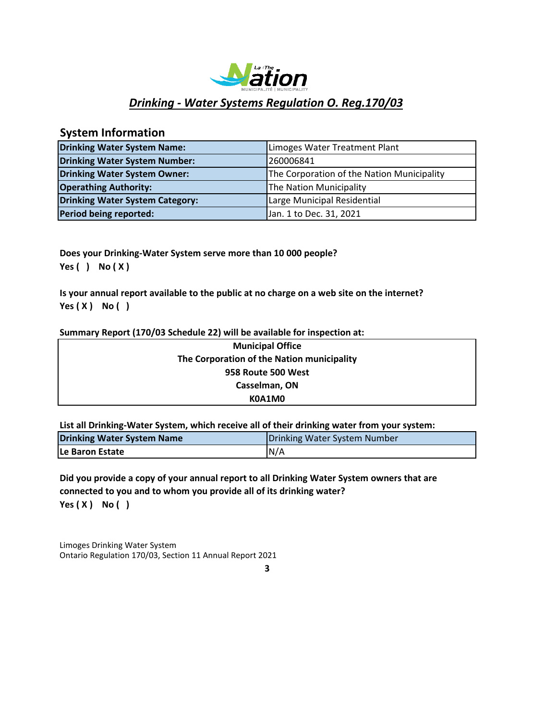

# *Drinking ‐ Water Systems Regulation O. Reg.170/03*

## **System Information**

| <b>Drinking Water System Name:</b>     | Limoges Water Treatment Plant              |
|----------------------------------------|--------------------------------------------|
| <b>Drinking Water System Number:</b>   | 260006841                                  |
| Drinking Water System Owner:           | The Corporation of the Nation Municipality |
| <b>Operathing Authority:</b>           | The Nation Municipality                    |
| <b>Drinking Water System Category:</b> | Large Municipal Residential                |
| Period being reported:                 | Jan. 1 to Dec. 31, 2021                    |

**Does your Drinking‐Water System serve more than 10 000 people? Yes ( ) No ( X )**

**Is your annual report available to the public at no charge on a web site on the internet? Yes ( X ) No ( )**

### **Summary Report (170/03 Schedule 22) will be available for inspection at:**

| <b>Municipal Office</b>                    |  |
|--------------------------------------------|--|
| The Corporation of the Nation municipality |  |
| 958 Route 500 West                         |  |
| Casselman, ON                              |  |
| K0A1M0                                     |  |

**List all Drinking‐Water System, which receive all of their drinking water from your system:**

| Drinking Water System Name | Drinking Water System Number |  |  |
|----------------------------|------------------------------|--|--|
| <b>ILe Baron Estate</b>    | N/A                          |  |  |

**Yes ( X ) No ( ) Did you provide a copy of your annual report to all Drinking Water System owners that are connected to you and to whom you provide all of its drinking water?**

Limoges Drinking Water System Ontario Regulation 170/03, Section 11 Annual Report 2021

**3**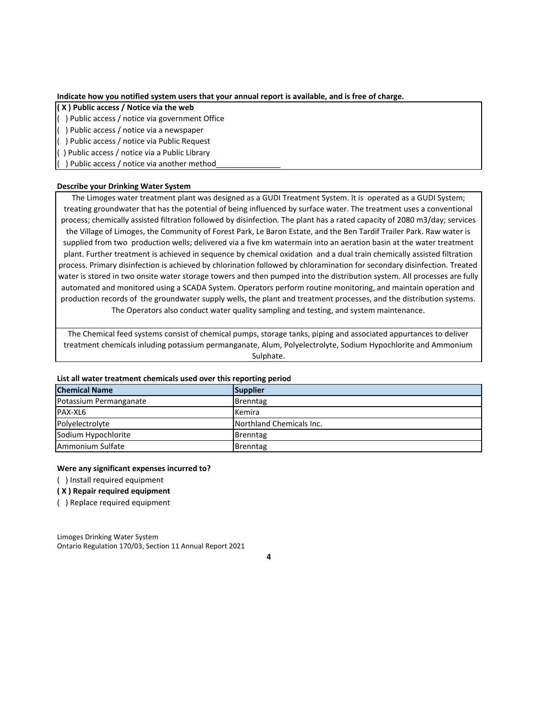**Indicate how you notified system users that your annual report is available, and is free of charge.**

#### **( X ) Public access / Notice via the web**

( ) Public access / notice via government Office

( ) Public access / notice via a newspaper

( ) Public access / notice via Public Request

( ) Public access / notice via a Public Library

) Public access / notice via another method

#### **Describe your Drinking Water System**

The Limoges water treatment plant was designed as a GUDI Treatment System. It is operated as a GUDI System; treating groundwater that has the potential of being influenced by surface water. The treatment uses a conventional process; chemically assisted filtration followed by disinfection. The plant has a rated capacity of 2080 m3/day; services the Village of Limoges, the Community of Forest Park, Le Baron Estate, and the Ben Tardif Trailer Park. Raw water is supplied from two production wells; delivered via a five km watermain into an aeration basin at the water treatment plant. Further treatment is achieved in sequence by chemical oxidation and a dual train chemically assisted filtration process. Primary disinfection is achieved by chlorination followed by chloramination for secondary disinfection. Treated water is stored in two onsite water storage towers and then pumped into the distribution system. All processes are fully automated and monitored using a SCADA System. Operators perform routine monitoring, and maintain operation and production records of the groundwater supply wells, the plant and treatment processes, and the distribution systems. The Operators also conduct water quality sampling and testing, and system maintenance.

The Chemical feed systems consist of chemical pumps, storage tanks, piping and associated appurtances to deliver treatment chemicals inluding potassium permanganate, Alum, Polyelectrolyte, Sodium Hypochlorite and Ammonium Sulphate.

#### **List all water treatment chemicals used over this reporting period**

| <b>Chemical Name</b>   | Supplier                 |
|------------------------|--------------------------|
| Potassium Permanganate | <b>Brenntag</b>          |
| PAX-XL6                | Kemira                   |
| Polyelectrolyte        | Northland Chemicals Inc. |
| Sodium Hypochlorite    | Brenntag                 |
| Ammonium Sulfate       | Brenntag                 |

#### **Were any significant expenses incurred to?**

( ) Install required equipment

**( X ) Repair required equipment**

( ) Replace required equipment

Limoges Drinking Water System Ontario Regulation 170/03, Section 11 Annual Report 2021

**4**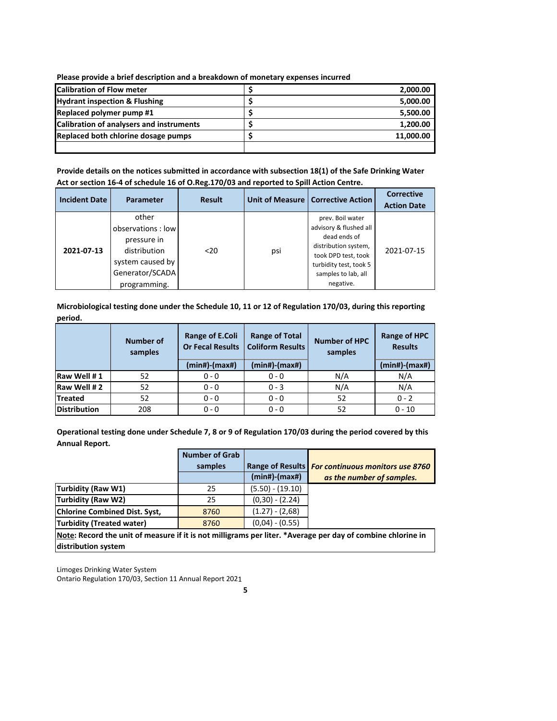**Please provide a brief description and a breakdown of monetary expenses incurred**

| <b>Calibration of Flow meter</b>         | 2,000.00  |
|------------------------------------------|-----------|
| <b>Hydrant inspection &amp; Flushing</b> | 5,000.00  |
| Replaced polymer pump #1                 | 5,500.00  |
| Calibration of analysers and instruments | 1,200.00  |
| Replaced both chlorine dosage pumps      | 11,000.00 |
|                                          |           |

**Provide details on the notices submitted in accordance with subsection 18(1) of the Safe Drinking Water Act or section 16‐4 of schedule 16 of O.Reg.170/03 and reported to Spill Action Centre.**

| <b>Incident Date</b> | Parameter                                                                                                        | <b>Result</b> |     | Unit of Measure   Corrective Action                                                                                                                                     | <b>Corrective</b><br><b>Action Date</b> |
|----------------------|------------------------------------------------------------------------------------------------------------------|---------------|-----|-------------------------------------------------------------------------------------------------------------------------------------------------------------------------|-----------------------------------------|
| 2021-07-13           | other<br>observations: low<br>pressure in<br>distribution<br>system caused by<br>Generator/SCADA<br>programming. | $20$          | psi | prev. Boil water<br>advisory & flushed all<br>dead ends of<br>distribution system,<br>took DPD test, took<br>turbidity test, took 5<br>samples to lab, all<br>negative. | 2021-07-15                              |

**Microbiological testing done under the Schedule 10, 11 or 12 of Regulation 170/03, during this reporting period.**

|                     | Number of<br>samples | Range of E.Coli<br><b>Or Fecal Results</b><br>$(min#)$ - $(max#)$ | <b>Range of Total</b><br><b>Number of HPC</b><br><b>Coliform Results</b><br>samples<br>(min#)-(max#) |     | Range of HPC<br><b>Results</b><br>$(min#)$ - $(max#)$ |
|---------------------|----------------------|-------------------------------------------------------------------|------------------------------------------------------------------------------------------------------|-----|-------------------------------------------------------|
|                     |                      |                                                                   |                                                                                                      |     |                                                       |
| Raw Well #1         | 52                   | $0 - 0$                                                           | $0 - 0$                                                                                              | N/A | N/A                                                   |
| Raw Well #2         | 52                   | $0 - 0$                                                           | $0 - 3$                                                                                              | N/A | N/A                                                   |
| <b>Treated</b>      | 52                   | $0 - 0$                                                           | $0 - 0$                                                                                              | 52  | $0 - 2$                                               |
| <b>Distribution</b> | 208                  | $0 - 0$                                                           | $0 - 0$                                                                                              | 52  | $0 - 10$                                              |

**Operational testing done under Schedule 7, 8 or 9 of Regulation 170/03 during the period covered by this Annual Report.**

|                                      | <b>Number of Grab</b> |                     |                                                   |
|--------------------------------------|-----------------------|---------------------|---------------------------------------------------|
|                                      | samples               |                     | Range of Results For continuous monitors use 8760 |
|                                      |                       | $(min#)$ - $(max#)$ | as the number of samples.                         |
| Turbidity (Raw W1)                   | 25                    | $(5.50) - (19.10)$  |                                                   |
| Turbidity (Raw W2)                   | 25                    | $(0,30) - (2.24)$   |                                                   |
| <b>Chlorine Combined Dist. Syst.</b> | 8760                  | $(1.27) - (2.68)$   |                                                   |
| Turbidity (Treated water)            | 8760                  | $(0.04) - (0.55)$   |                                                   |
| .<br>. .                             | $\cdots$<br>          | $\cdots$            | .<br>.                                            |

**Note: Record the unit of measure if it is not milligrams per liter. \*Average per day of combine chlorine in distribution system**

Limoges Drinking Water System Ontario Regulation 170/03, Section 11 Annual Report 2021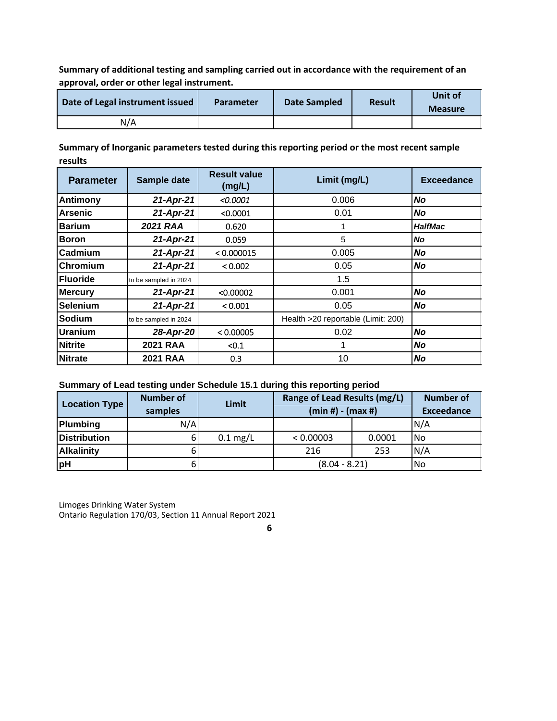**Summary of additional testing and sampling carried out in accordance with the requirement of an approval, order or other legal instrument.**

| Date of Legal instrument issued | <b>Parameter</b> | Date Sampled | <b>Result</b> | Unit of<br><b>Measure</b> |
|---------------------------------|------------------|--------------|---------------|---------------------------|
| N/A                             |                  |              |               |                           |

**Summary of Inorganic parameters tested during this reporting period or the most recent sample results**

| <b>Parameter</b> | Sample date           | <b>Result value</b><br>(mg/L) | Limit (mg/L)                       | <b>Exceedance</b> |
|------------------|-----------------------|-------------------------------|------------------------------------|-------------------|
| <b>Antimony</b>  | 21-Apr-21             | < 0.0001                      | 0.006                              | No                |
| Arsenic          | 21-Apr-21             | < 0.0001                      | 0.01                               | <b>No</b>         |
| <b>Barium</b>    | 2021 RAA              | 0.620                         |                                    | <b>HalfMac</b>    |
| <b>Boron</b>     | 21-Apr-21             | 0.059                         | 5                                  | <b>No</b>         |
| <b>Cadmium</b>   | 21-Apr-21             | < 0.000015                    | 0.005                              | No                |
| Chromium         | 21-Apr-21             | < 0.002                       | 0.05                               | No                |
| <b>Fluoride</b>  | to be sampled in 2024 |                               | 1.5                                |                   |
| <b>Mercury</b>   | 21-Apr-21             | < 0.00002                     | 0.001                              | No                |
| <b>Selenium</b>  | 21-Apr-21             | < 0.001                       | 0.05                               | No                |
| Sodium           | to be sampled in 2024 |                               | Health >20 reportable (Limit: 200) |                   |
| Uranium          | 28-Apr-20             | < 0.00005                     | 0.02                               | No                |
| <b>Nitrite</b>   | <b>2021 RAA</b>       | < 0.1                         |                                    | No                |
| <b>Nitrate</b>   | <b>2021 RAA</b>       | 0.3                           | 10                                 | No                |

## **Summary of Lead testing under Schedule 15.1 during this reporting period**

| <b>Location Type</b> | <b>Number of</b><br>samples | Limit              | Range of Lead Results (mg/L)<br>$(min #) - (max #)$ |        | <b>Number of</b><br><b>Exceedance</b> |
|----------------------|-----------------------------|--------------------|-----------------------------------------------------|--------|---------------------------------------|
| <b>Plumbing</b>      | N/A                         |                    |                                                     |        | N/A                                   |
| <b>Distribution</b>  |                             | $0.1 \text{ mg/L}$ | < 0.00003                                           | 0.0001 | <b>No</b>                             |
| <b>Alkalinity</b>    |                             |                    | 216                                                 | 253    | N/A                                   |
| pH                   |                             |                    | $(8.04 - 8.21)$                                     |        | <b>No</b>                             |

Limoges Drinking Water System Ontario Regulation 170/03, Section 11 Annual Report 2021

**6**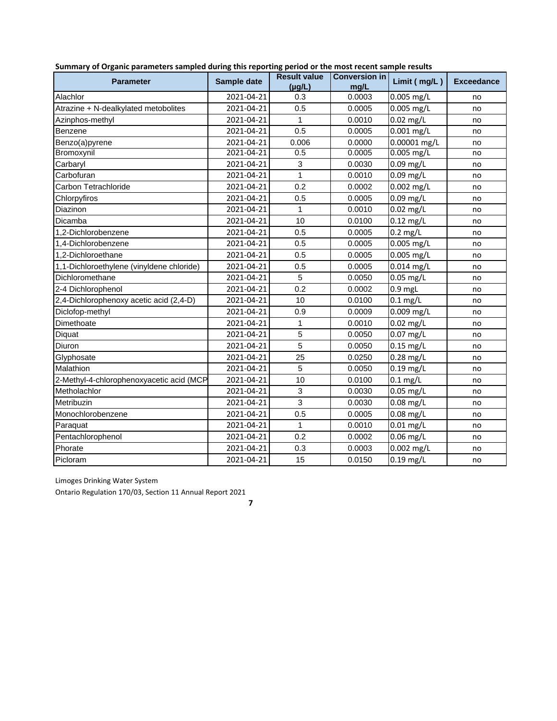| <b>Parameter</b>                          | Sample date | <b>Result value</b><br>(ua/L) | <b>Conversion in</b><br>ma/L | Limit (mg/L) | <b>Exceedance</b> |
|-------------------------------------------|-------------|-------------------------------|------------------------------|--------------|-------------------|
| Alachlor                                  | 2021-04-21  | 0.3                           | 0.0003                       | $0.005$ mg/L | no                |
| Atrazine + N-dealkylated metobolites      | 2021-04-21  | 0.5                           | 0.0005                       | 0.005 mg/L   | no                |
| Azinphos-methyl                           | 2021-04-21  | 1                             | 0.0010                       | $0.02$ mg/L  | no                |
| Benzene                                   | 2021-04-21  | 0.5                           | 0.0005                       | $0.001$ mg/L | no                |
| Benzo(a)pyrene                            | 2021-04-21  | 0.006                         | 0.0000                       | 0.00001 mg/L | no                |
| Bromoxynil                                | 2021-04-21  | 0.5                           | 0.0005                       | $0.005$ mg/L | no                |
| Carbaryl                                  | 2021-04-21  | 3                             | 0.0030                       | $0.09$ mg/L  | no                |
| Carbofuran                                | 2021-04-21  | $\mathbf{1}$                  | 0.0010                       | 0.09 mg/L    | no                |
| Carbon Tetrachloride                      | 2021-04-21  | 0.2                           | 0.0002                       | $0.002$ mg/L | no                |
| Chlorpyfiros                              | 2021-04-21  | 0.5                           | 0.0005                       | $0.09$ mg/L  | no                |
| Diazinon                                  | 2021-04-21  | 1                             | 0.0010                       | $0.02$ mg/L  | no                |
| Dicamba                                   | 2021-04-21  | 10                            | 0.0100                       | $0.12$ mg/L  | no                |
| 1.2-Dichlorobenzene                       | 2021-04-21  | 0.5                           | 0.0005                       | $0.2$ mg/L   | no                |
| 1.4-Dichlorobenzene                       | 2021-04-21  | 0.5                           | 0.0005                       | 0.005 mg/L   | no                |
| 1,2-Dichloroethane                        | 2021-04-21  | 0.5                           | 0.0005                       | 0.005 mg/L   | no                |
| 1,1-Dichloroethylene (vinyldene chloride) | 2021-04-21  | 0.5                           | 0.0005                       | $0.014$ mg/L | no                |
| Dichloromethane                           | 2021-04-21  | 5                             | 0.0050                       | $0.05$ mg/L  | no                |
| 2-4 Dichlorophenol                        | 2021-04-21  | 0.2                           | 0.0002                       | $0.9$ mgL    | no                |
| 2,4-Dichlorophenoxy acetic acid (2,4-D)   | 2021-04-21  | 10                            | 0.0100                       | $0.1$ mg/L   | no                |
| Diclofop-methyl                           | 2021-04-21  | 0.9                           | 0.0009                       | 0.009 mg/L   | no                |
| Dimethoate                                | 2021-04-21  | $\mathbf{1}$                  | 0.0010                       | $0.02$ mg/L  | no                |
| Diquat                                    | 2021-04-21  | 5                             | 0.0050                       | $0.07$ mg/L  | no                |
| Diuron                                    | 2021-04-21  | 5                             | 0.0050                       | $0.15$ mg/L  | no                |
| Glyphosate                                | 2021-04-21  | 25                            | 0.0250                       | $0.28$ mg/L  | no                |
| Malathion                                 | 2021-04-21  | 5                             | 0.0050                       | $0.19$ mg/L  | no                |
| 2-Methyl-4-chlorophenoxyacetic acid (MCP  | 2021-04-21  | 10                            | 0.0100                       | $0.1$ mg/L   | no                |
| Metholachlor                              | 2021-04-21  | 3                             | 0.0030                       | $0.05$ mg/L  | no                |
| Metribuzin                                | 2021-04-21  | 3                             | 0.0030                       | $0.08$ mg/L  | no                |
| Monochlorobenzene                         | 2021-04-21  | 0.5                           | 0.0005                       | $0.08$ mg/L  | no                |
| Paraquat                                  | 2021-04-21  | 1                             | 0.0010                       | $0.01$ mg/L  | no                |
| Pentachlorophenol                         | 2021-04-21  | 0.2                           | 0.0002                       | $0.06$ mg/L  | no                |
| Phorate                                   | 2021-04-21  | 0.3                           | 0.0003                       | $0.002$ mg/L | no                |
| Picloram                                  | 2021-04-21  | 15                            | 0.0150                       | $0.19$ mg/L  | no                |

|  |  | Summary of Organic parameters sampled during this reporting period or the most recent sample results |
|--|--|------------------------------------------------------------------------------------------------------|
|--|--|------------------------------------------------------------------------------------------------------|

Limoges Drinking Water System

Ontario Regulation 170/03, Section 11 Annual Report 2021